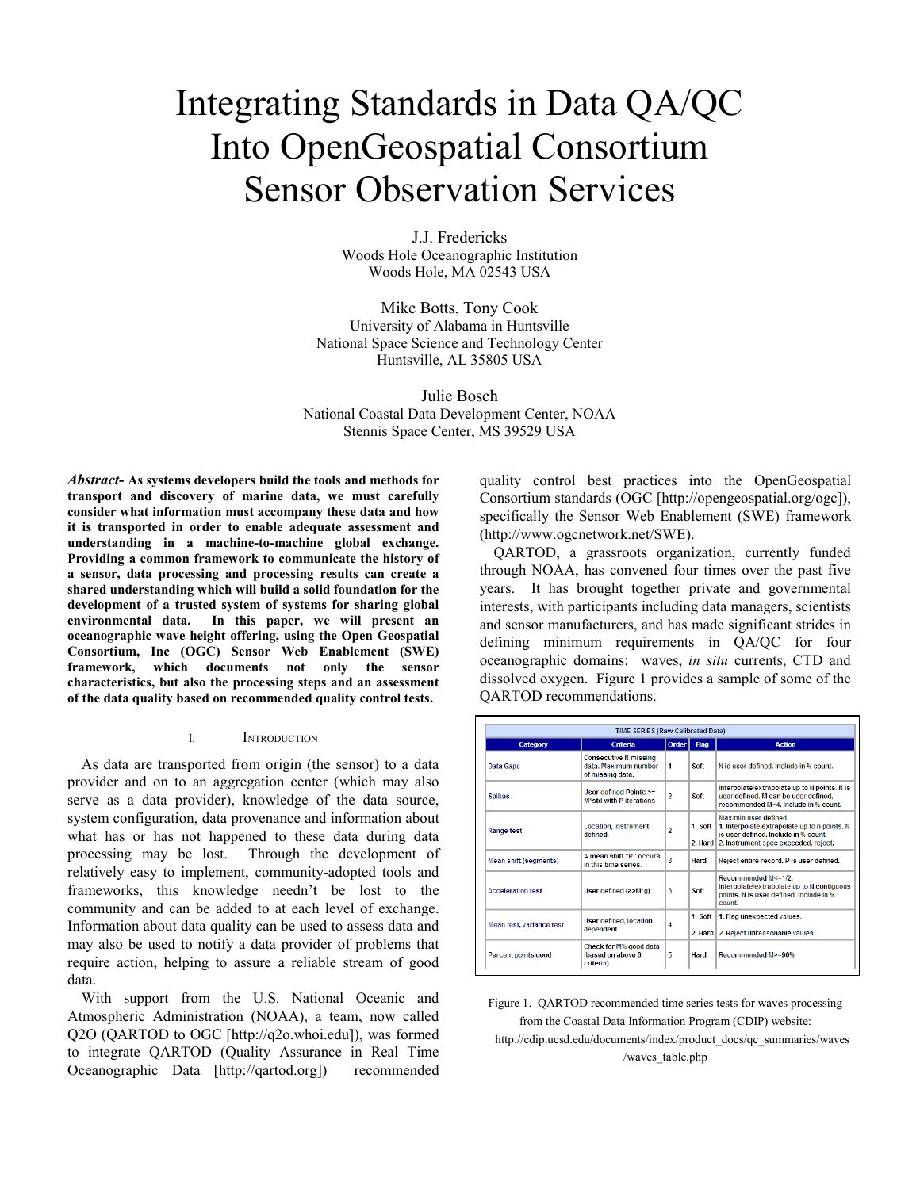# Integrating Standards in Data QA/QC Into OpenGeospatial Consortium Sensor Observation Services

J.J. Fredericks Woods Hole Oceanographic Institution Woods Hole, MA 02543 USA

Mike Botts, Tony Cook University of Alabama in Huntsville National Space Science and Technology Center Huntsville, AL 35805 USA

Julie Bosch National Coastal Data Development Center, NOAA Stennis Space Center, MS 39529 USA

*Abstract-* **As systems developers build the tools and methods for transport and discovery of marine data, we must carefully consider what information must accompany these data and how it is transported in order to enable adequate assessment and understanding in a machine-to-machine global exchange. Providing a common framework to communicate the history of a sensor, data processing and processing results can create a shared understanding which will build a solid foundation for the development of a trusted system of systems for sharing global environmental data. In this paper, we will present an oceanographic wave height offering, using the Open Geospatial Consortium, Inc (OGC) Sensor Web Enablement (SWE) framework, which documents not only the sensor characteristics, but also the processing steps and an assessment of the data quality based on recommended quality control tests.** 

#### I. INTRODUCTION

As data are transported from origin (the sensor) to a data provider and on to an aggregation center (which may also serve as a data provider), knowledge of the data source, system configuration, data provenance and information about what has or has not happened to these data during data processing may be lost. Through the development of relatively easy to implement, community-adopted tools and frameworks, this knowledge needn't be lost to the community and can be added to at each level of exchange. Information about data quality can be used to assess data and may also be used to notify a data provider of problems that require action, helping to assure a reliable stream of good data.

With support from the U.S. National Oceanic and Atmospheric Administration (NOAA), a team, now called Q2O (QARTOD to OGC [http://q2o.whoi.edu]), was formed to integrate QARTOD (Quality Assurance in Real Time Oceanographic Data [http://qartod.org]) recommended

quality control best practices into the OpenGeospatial Consortium standards (OGC [http://opengeospatial.org/ogc]), specifically the Sensor Web Enablement (SWE) framework (http://www.ogcnetwork.net/SWE).

QARTOD, a grassroots organization, currently funded through NOAA, has convened four times over the past five years. It has brought together private and governmental interests, with participants including data managers, scientists and sensor manufacturers, and has made significant strides in defining minimum requirements in QA/QC for four oceanographic domains: waves, *in situ* currents, CTD and dissolved oxygen. Figure 1 provides a sample of some of the QARTOD recommendations.

| <b>TIME SERIES (Raw Calibrated Data)</b> |                                                                          |                |                      |                                                                                                                                                       |
|------------------------------------------|--------------------------------------------------------------------------|----------------|----------------------|-------------------------------------------------------------------------------------------------------------------------------------------------------|
| Category                                 | Criteria                                                                 | Order          | Flag                 | <b>Action</b>                                                                                                                                         |
| Data Gaps                                | <b>Consecutive N missing</b><br>data. Maximum number<br>of missing data. | 1              | Soft                 | N is user defined include in % count.                                                                                                                 |
| <b>Spikes</b>                            | User defined Points >=<br>M*std with P iterations                        | 2              | Soft                 | Interpolate/extrapolate up to N points. N is<br>user defined. M can be user defined.<br>recommended M=4, include in % count.                          |
| <b>Range test</b>                        | <b>Location, instrument</b><br>defined.                                  | $\overline{2}$ | $1.$ Soft<br>2. Hard | Max/min user defined.<br>1. Interpolate/extrapolate up to n points. N<br>is user defined, include in % count.<br>2. Instrument spec exceeded, reject. |
| <b>Mean shift (segments)</b>             | A mean shift "P" occurs<br>in this time series.                          | 3              | Hard                 | Reject entire record. P is user defined.                                                                                                              |
| <b>Acceleration test</b>                 | User defined (a>M*g)                                                     | 3              | Soft                 | Recommended M<=1/2<br>Interpolate/extrapolate up to N contiguous<br>points. N is user defined. Include in %<br>count.                                 |
| Mean test, variance test                 | User defined, location<br>dependent                                      | 4              | 1. Soft<br>2. Hard   | 1. Flag unexpected values.<br>2. Reject unreasonable values.                                                                                          |
| Percent points good                      | Check for M% good data<br>(based on above 6<br>criteria)                 | 5              | Hard                 | Recommended M>=90%                                                                                                                                    |

Figure 1. QARTOD recommended time series tests for waves processing from the Coastal Data Information Program (CDIP) website: http://cdip.ucsd.edu/documents/index/product\_docs/qc\_summaries/waves /waves\_table.php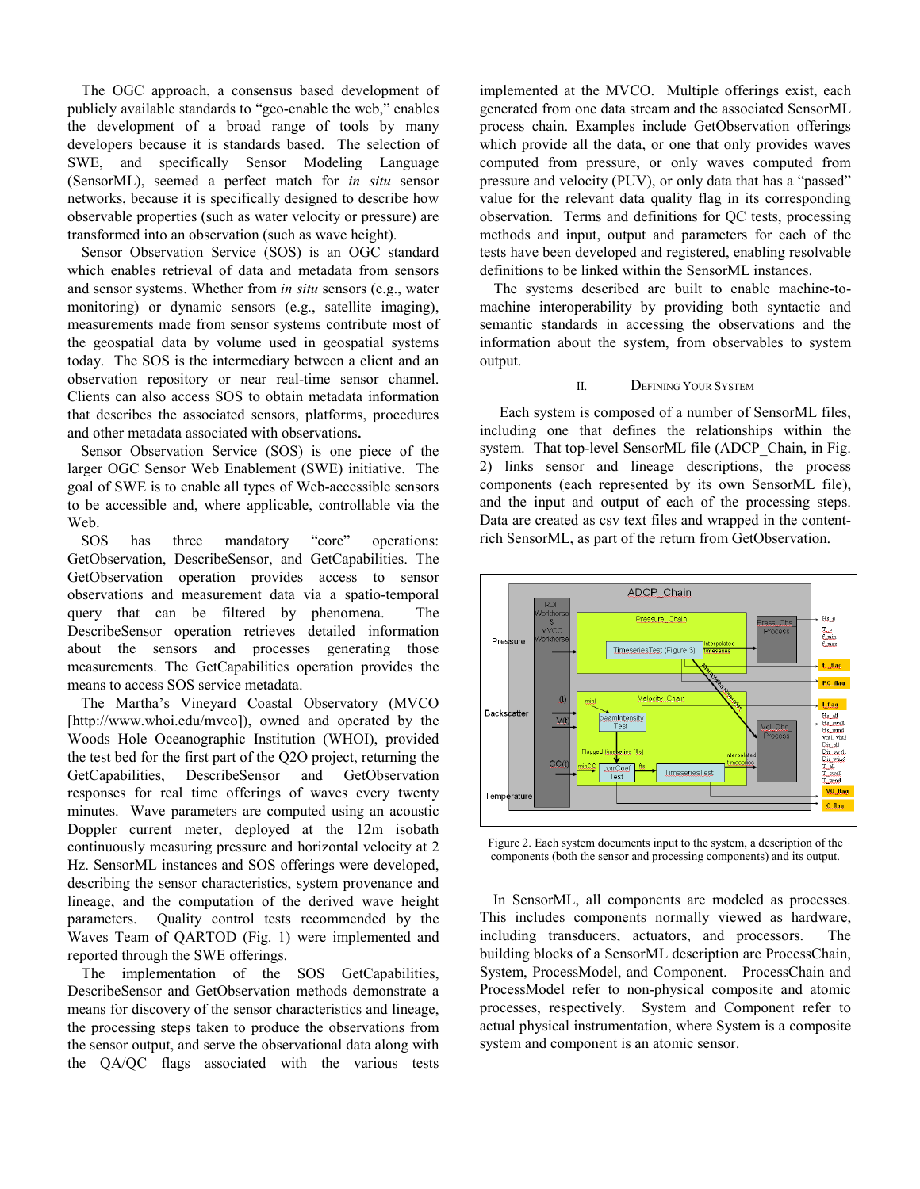The OGC approach, a consensus based development of publicly available standards to "geo-enable the web," enables the development of a broad range of tools by many developers because it is standards based. The selection of SWE, and specifically Sensor Modeling Language (SensorML), seemed a perfect match for *in situ* sensor networks, because it is specifically designed to describe how observable properties (such as water velocity or pressure) are transformed into an observation (such as wave height).

Sensor Observation Service (SOS) is an OGC standard which enables retrieval of data and metadata from sensors and sensor systems. Whether from *in situ* sensors (e.g., water monitoring) or dynamic sensors (e.g., satellite imaging), measurements made from sensor systems contribute most of the geospatial data by volume used in geospatial systems today. The SOS is the intermediary between a client and an observation repository or near real-time sensor channel. Clients can also access SOS to obtain metadata information that describes the associated sensors, platforms, procedures and other metadata associated with observations. Sensor Observation Service (SOS) is one piece of the

larger OGC Sensor Web Enablement (SWE) initiative. The goal of SWE is to enable all types of Web-accessible sensors to be accessible and, where applicable, controllable via the Web.

SOS has three mandatory "core" operations: GetObservation, DescribeSensor, and GetCapabilities. The GetObservation operation provides access to sensor observations and measurement data via a spatio-temporal query that can be filtered by phenomena. The DescribeSensor operation retrieves detailed information about the sensors and processes generating those measurements. The GetCapabilities operation provides the means to access SOS service metadata.

The Martha's Vineyard Coastal Observatory (MVCO [http://www.whoi.edu/mvco]), owned and operated by the Woods Hole Oceanographic Institution (WHOI), provided the test bed for the first part of the Q2O project, returning the GetCapabilities, DescribeSensor and GetObservation responses for real time offerings of waves every twenty minutes. Wave parameters are computed using an acoustic Doppler current meter, deployed at the 12m isobath continuously measuring pressure and horizontal velocity at 2 Hz. SensorML instances and SOS offerings were developed, describing the sensor characteristics, system provenance and lineage, and the computation of the derived wave height parameters. Quality control tests recommended by the Waves Team of QARTOD (Fig. 1) were implemented and reported through the SWE offerings.

The implementation of the SOS GetCapabilities, DescribeSensor and GetObservation methods demonstrate a means for discovery of the sensor characteristics and lineage, the processing steps taken to produce the observations from the sensor output, and serve the observational data along with the QA/QC flags associated with the various tests

implemented at the MVCO. Multiple offerings exist, each generated from one data stream and the associated SensorML process chain. Examples include GetObservation offerings which provide all the data, or one that only provides waves computed from pressure, or only waves computed from pressure and velocity (PUV), or only data that has a "passed" value for the relevant data quality flag in its corresponding observation. Terms and definitions for QC tests, processing methods and input, output and parameters for each of the tests have been developed and registered, enabling resolvable definitions to be linked within the SensorML instances.

The systems described are built to enable machine-tomachine interoperability by providing both syntactic and semantic standards in accessing the observations and the information about the system, from observables to system output.

# II. DEFINING YOUR SYSTEM

Each system is composed of a number of SensorML files, including one that defines the relationships within the system. That top-level SensorML file (ADCP\_Chain, in Fig. 2) links sensor and lineage descriptions, the process components (each represented by its own SensorML file), and the input and output of each of the processing steps. Data are created as csv text files and wrapped in the contentrich SensorML, as part of the return from GetObservation.



Figure 2. Each system documents input to the system, a description of the components (both the sensor and processing components) and its output.

In SensorML, all components are modeled as processes. This includes components normally viewed as hardware, including transducers, actuators, and processors. The building blocks of a SensorML description are ProcessChain, System, ProcessModel, and Component. ProcessChain and ProcessModel refer to non-physical composite and atomic processes, respectively. System and Component refer to actual physical instrumentation, where System is a composite system and component is an atomic sensor.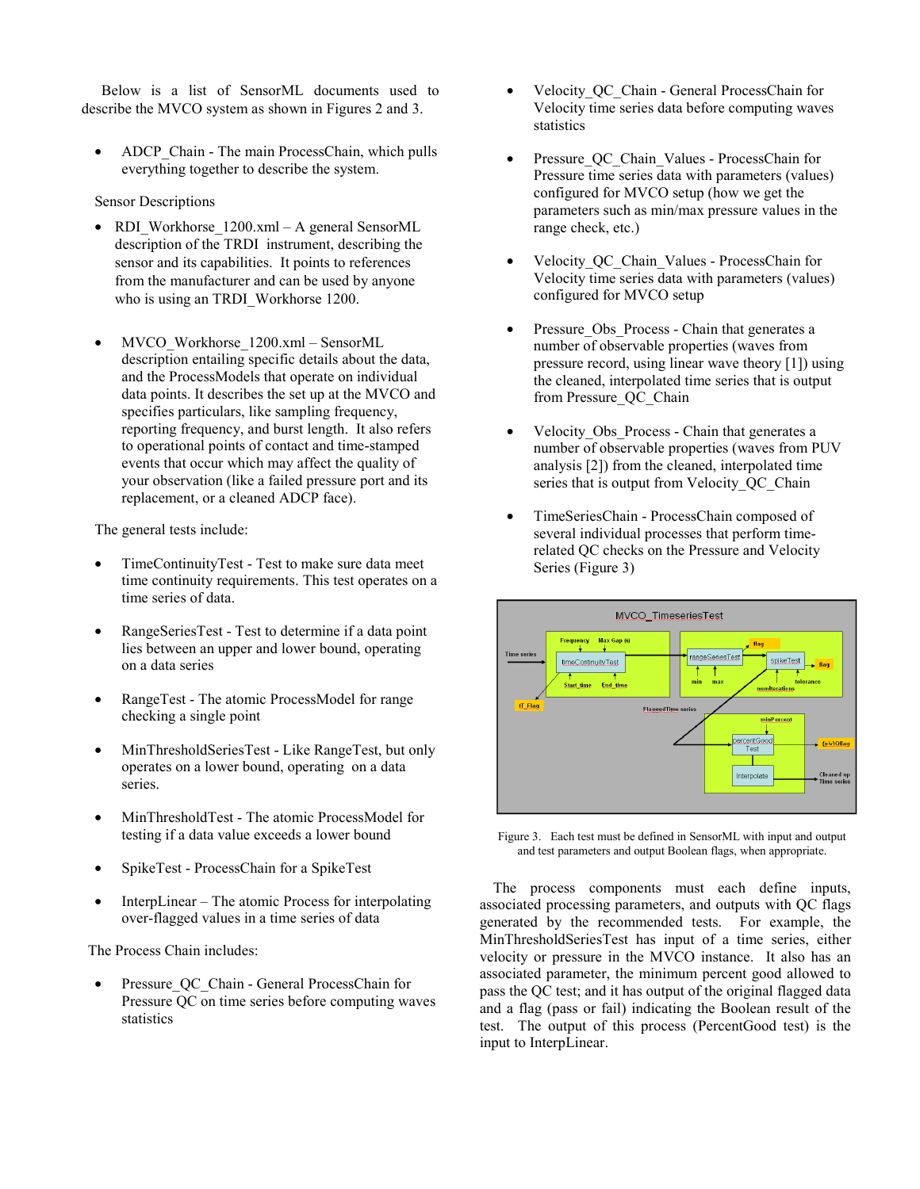Below is a list of SensorML documents used to describe the MVCO system as shown in Figures 2 and 3.

• ADCP\_Chain - The main ProcessChain, which pulls everything together to describe the system.

## Sensor Descriptions

- RDI\_Workhorse\_1200.xml A general SensorML description of the TRDI instrument, describing the sensor and its capabilities. It points to references from the manufacturer and can be used by anyone who is using an TRDI\_Workhorse 1200.
- MVCO\_Workhorse\_1200.xml SensorML description entailing specific details about the data, and the ProcessModels that operate on individual data points. It describes the set up at the MVCO and specifies particulars, like sampling frequency, reporting frequency, and burst length. It also refers to operational points of contact and time-stamped events that occur which may affect the quality of your observation (like a failed pressure port and its replacement, or a cleaned ADCP face).

The general tests include:

- TimeContinuityTest Test to make sure data meet time continuity requirements. This test operates on a time series of data.
- RangeSeriesTest Test to determine if a data point lies between an upper and lower bound, operating on a data series
- RangeTest The atomic ProcessModel for range checking a single point
- MinThresholdSeriesTest Like RangeTest, but only operates on a lower bound, operating on a data series.
- MinThresholdTest The atomic ProcessModel for testing if a data value exceeds a lower bound
- SpikeTest ProcessChain for a SpikeTest
- InterpLinear The atomic Process for interpolating over-flagged values in a time series of data

The Process Chain includes:

Pressure\_QC\_Chain - General ProcessChain for Pressure QC on time series before computing waves statistics

- Velocity\_QC\_Chain General ProcessChain for Velocity time series data before computing waves statistics
- Pressure\_OC\_Chain\_Values ProcessChain for Pressure time series data with parameters (values) configured for MVCO setup (how we get the parameters such as min/max pressure values in the range check, etc.)
- Velocity QC\_Chain\_Values ProcessChain for Velocity time series data with parameters (values) configured for MVCO setup
- Pressure Obs Process Chain that generates a number of observable properties (waves from pressure record, using linear wave theory [1]) using the cleaned, interpolated time series that is output from Pressure\_QC\_Chain
- Velocity Obs Process Chain that generates a number of observable properties (waves from PUV analysis [2]) from the cleaned, interpolated time series that is output from Velocity OC\_Chain
- TimeSeriesChain ProcessChain composed of several individual processes that perform timerelated QC checks on the Pressure and Velocity Series (Figure 3)



Figure 3. Each test must be defined in SensorML with input and output and test parameters and output Boolean flags, when appropriate.

The process components must each define inputs, associated processing parameters, and outputs with QC flags generated by the recommended tests. For example, the MinThresholdSeriesTest has input of a time series, either velocity or pressure in the MVCO instance. It also has an associated parameter, the minimum percent good allowed to pass the QC test; and it has output of the original flagged data and a flag (pass or fail) indicating the Boolean result of the test. The output of this process (PercentGood test) is the input to InterpLinear.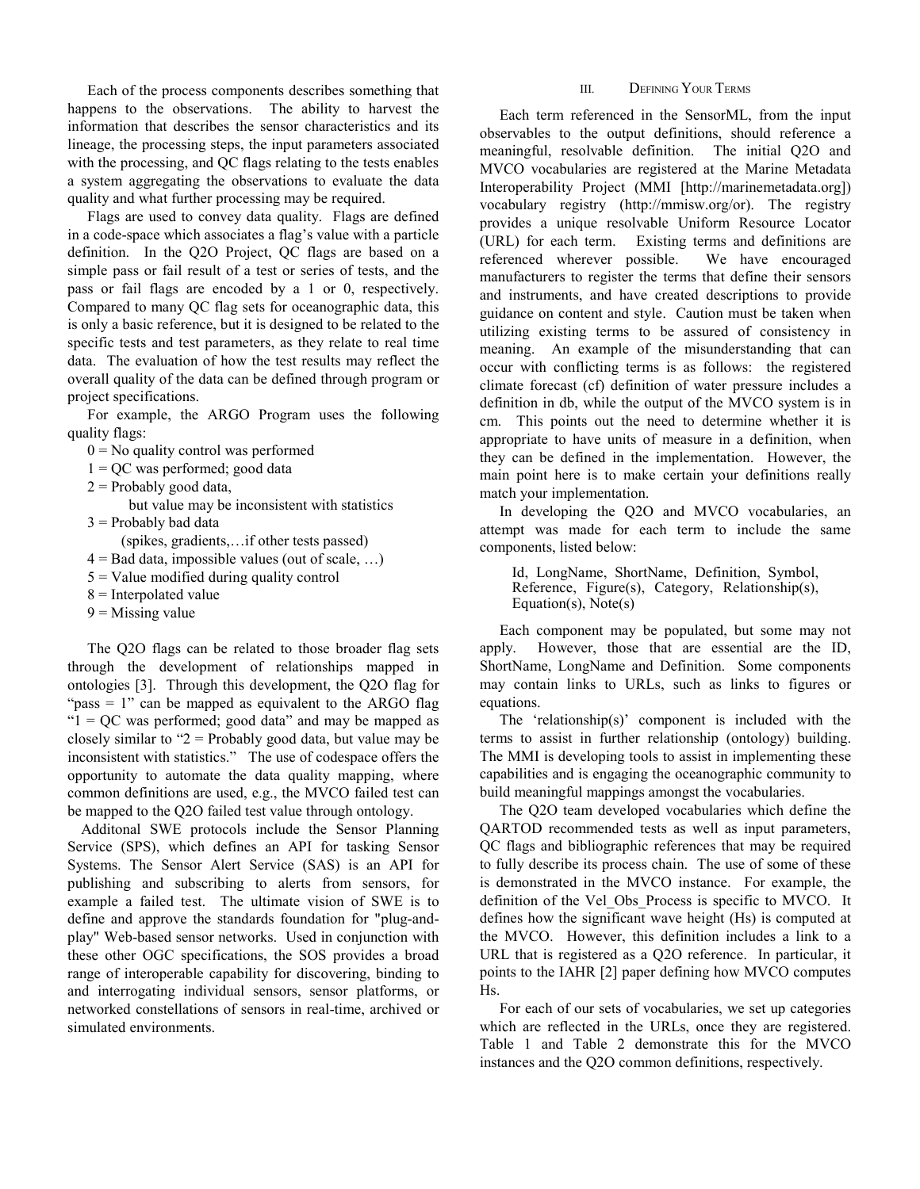Each of the process components describes something that happens to the observations. The ability to harvest the information that describes the sensor characteristics and its lineage, the processing steps, the input parameters associated with the processing, and QC flags relating to the tests enables a system aggregating the observations to evaluate the data quality and what further processing may be required.

Flags are used to convey data quality. Flags are defined in a code-space which associates a flag's value with a particle definition. In the Q2O Project, QC flags are based on a simple pass or fail result of a test or series of tests, and the pass or fail flags are encoded by a 1 or 0, respectively. Compared to many QC flag sets for oceanographic data, this is only a basic reference, but it is designed to be related to the specific tests and test parameters, as they relate to real time data. The evaluation of how the test results may reflect the overall quality of the data can be defined through program or project specifications.

For example, the ARGO Program uses the following quality flags:

- $0 = No$  quality control was performed
- $1 = QC$  was performed; good data
- $2$  = Probably good data,

but value may be inconsistent with statistics

- 3 = Probably bad data
	- (spikes, gradients,…if other tests passed)
- $4 =$ Bad data, impossible values (out of scale, ...)
- $5 =$  Value modified during quality control
- 8 = Interpolated value
- $9$  = Missing value

The Q2O flags can be related to those broader flag sets through the development of relationships mapped in ontologies [3]. Through this development, the Q2O flag for "pass  $= 1$ " can be mapped as equivalent to the ARGO flag "1 = QC was performed; good data" and may be mapped as closely similar to  $2$  = Probably good data, but value may be inconsistent with statistics." The use of codespace offers the opportunity to automate the data quality mapping, where common definitions are used, e.g., the MVCO failed test can be mapped to the Q2O failed test value through ontology.

Additonal SWE protocols include the Sensor Planning Service (SPS), which defines an API for tasking Sensor Systems. The Sensor Alert Service (SAS) is an API for publishing and subscribing to alerts from sensors, for example a failed test. The ultimate vision of SWE is to define and approve the standards foundation for "plug-andplay" Web-based sensor networks. Used in conjunction with these other OGC specifications, the SOS provides a broad range of interoperable capability for discovering, binding to and interrogating individual sensors, sensor platforms, or networked constellations of sensors in real-time, archived or simulated environments.

### III. DEFINING YOUR TERMS

Each term referenced in the SensorML, from the input observables to the output definitions, should reference a meaningful, resolvable definition. The initial Q2O and MVCO vocabularies are registered at the Marine Metadata Interoperability Project (MMI [http://marinemetadata.org]) vocabulary registry (http://mmisw.org/or). The registry provides a unique resolvable Uniform Resource Locator (URL) for each term. Existing terms and definitions are referenced wherever possible. We have encouraged manufacturers to register the terms that define their sensors and instruments, and have created descriptions to provide guidance on content and style. Caution must be taken when utilizing existing terms to be assured of consistency in meaning. An example of the misunderstanding that can occur with conflicting terms is as follows: the registered climate forecast (cf) definition of water pressure includes a definition in db, while the output of the MVCO system is in cm. This points out the need to determine whether it is appropriate to have units of measure in a definition, when they can be defined in the implementation. However, the main point here is to make certain your definitions really match your implementation.

In developing the Q2O and MVCO vocabularies, an attempt was made for each term to include the same components, listed below:

Id, LongName, ShortName, Definition, Symbol, Reference, Figure(s), Category, Relationship(s), Equation(s), Note(s)

Each component may be populated, but some may not apply. However, those that are essential are the ID, ShortName, LongName and Definition. Some components may contain links to URLs, such as links to figures or equations.

The 'relationship(s)' component is included with the terms to assist in further relationship (ontology) building. The MMI is developing tools to assist in implementing these capabilities and is engaging the oceanographic community to build meaningful mappings amongst the vocabularies.

The Q2O team developed vocabularies which define the QARTOD recommended tests as well as input parameters, QC flags and bibliographic references that may be required to fully describe its process chain. The use of some of these is demonstrated in the MVCO instance. For example, the definition of the Vel\_Obs\_Process is specific to MVCO. It defines how the significant wave height (Hs) is computed at the MVCO. However, this definition includes a link to a URL that is registered as a Q2O reference. In particular, it points to the IAHR [2] paper defining how MVCO computes Hs.

For each of our sets of vocabularies, we set up categories which are reflected in the URLs, once they are registered. Table 1 and Table 2 demonstrate this for the MVCO instances and the Q2O common definitions, respectively.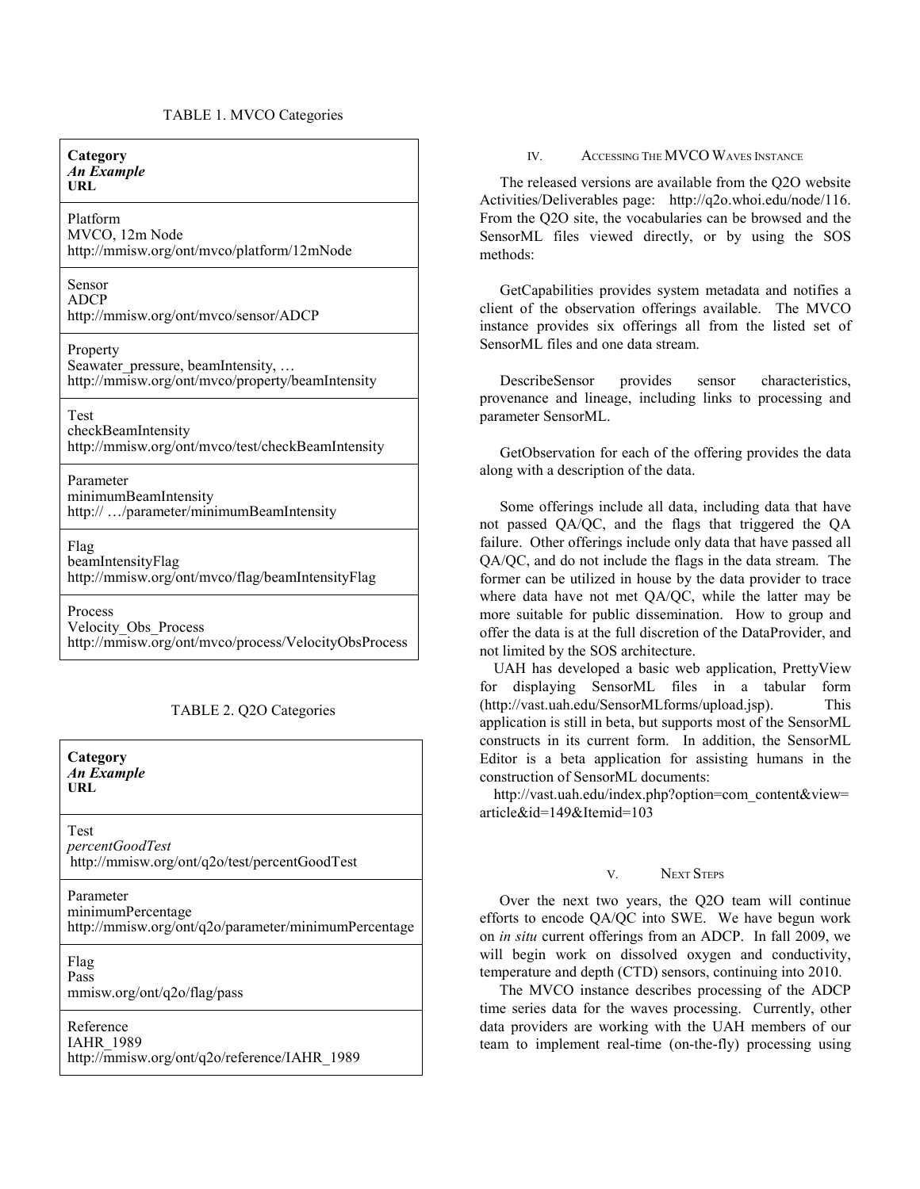# TABLE 1. MVCO Categories

| Category<br>An Example<br>URL                                                                     |
|---------------------------------------------------------------------------------------------------|
| Platform<br>MVCO, 12m Node<br>http://mmisw.org/ont/mvco/platform/12mNode                          |
| Sensor<br><b>ADCP</b><br>http://mmisw.org/ont/mvco/sensor/ADCP                                    |
| Property<br>Seawater_pressure, beamIntensity,<br>http://mmisw.org/ont/mvco/property/beamIntensity |
| Test<br>checkBeamIntensity<br>http://mmisw.org/ont/mvco/test/checkBeamIntensity                   |
| Parameter<br>minimumBeamIntensity<br>http:// /parameter/minimumBeamIntensity                      |
| Flag<br>beamIntensityFlag<br>http://mmisw.org/ont/mvco/flag/beamIntensityFlag                     |
| Process<br>Velocity Obs Process<br>http://mmisw.org/ont/mvco/process/VelocityObsProcess           |

**Category**  *An Example* **URL**

Test *percentGoodTest*  http://mmisw.org/ont/q2o/test/percentGoodTest

Parameter minimumPercentage http://mmisw.org/ont/q2o/parameter/minimumPercentage

Flag Pass mmisw.org/ont/q2o/flag/pass

Reference IAHR\_1989 http://mmisw.org/ont/q2o/reference/IAHR\_1989

# IV. ACCESSING THE MVCO WAVES INSTANCE

The released versions are available from the Q2O website Activities/Deliverables page: http://q2o.whoi.edu/node/116. From the Q2O site, the vocabularies can be browsed and the SensorML files viewed directly, or by using the SOS methods:

GetCapabilities provides system metadata and notifies a client of the observation offerings available. The MVCO instance provides six offerings all from the listed set of SensorML files and one data stream.

DescribeSensor provides sensor characteristics, provenance and lineage, including links to processing and parameter SensorML.

GetObservation for each of the offering provides the data along with a description of the data.

Some offerings include all data, including data that have not passed QA/QC, and the flags that triggered the QA failure. Other offerings include only data that have passed all QA/QC, and do not include the flags in the data stream. The former can be utilized in house by the data provider to trace where data have not met QA/QC, while the latter may be more suitable for public dissemination. How to group and offer the data is at the full discretion of the DataProvider, and not limited by the SOS architecture.

UAH has developed a basic web application, PrettyView for displaying SensorML files in a tabular form (http://vast.uah.edu/SensorMLforms/upload.jsp). This application is still in beta, but supports most of the SensorML constructs in its current form. In addition, the SensorML Editor is a beta application for assisting humans in the construction of SensorML documents:

http://vast.uah.edu/index.php?option=com\_content&view= article&id=149&Itemid=103

# V. NEXT STEPS

Over the next two years, the Q2O team will continue efforts to encode QA/QC into SWE. We have begun work on *in situ* current offerings from an ADCP. In fall 2009, we will begin work on dissolved oxygen and conductivity, temperature and depth (CTD) sensors, continuing into 2010.

The MVCO instance describes processing of the ADCP time series data for the waves processing. Currently, other data providers are working with the UAH members of our team to implement real-time (on-the-fly) processing using